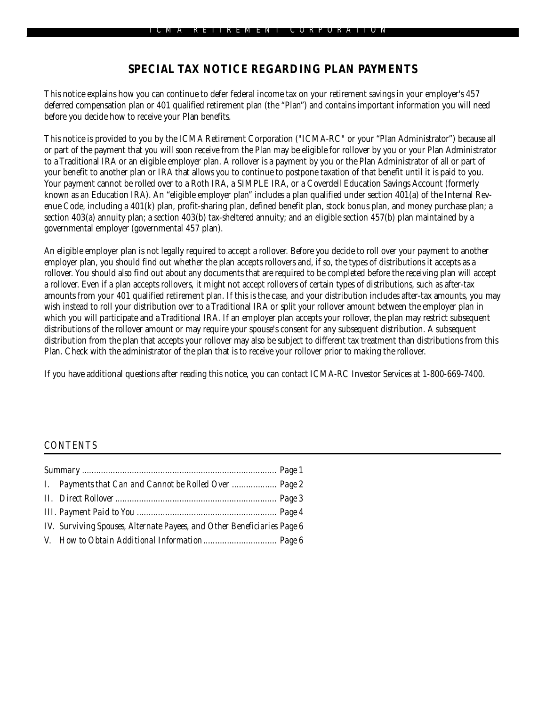## **SPECIAL TAX NOTICE REGARDING PLAN PAYMENTS**

This notice explains how you can continue to defer federal income tax on your retirement savings in your employer's 457 deferred compensation plan or 401 qualified retirement plan (the "Plan") and contains important information you will need before you decide how to receive your Plan benefits.

This notice is provided to you by the ICMA Retirement Corporation ("ICMA-RC" or your "Plan Administrator") because all or part of the payment that you will soon receive from the Plan may be eligible for rollover by you or your Plan Administrator to a Traditional IRA or an eligible employer plan. A rollover is a payment by you or the Plan Administrator of all or part of your benefit to another plan or IRA that allows you to continue to postpone taxation of that benefit until it is paid to you. Your payment cannot be rolled over to a Roth IRA, a SIMPLE IRA, or a Coverdell Education Savings Account (formerly known as an Education IRA). An "eligible employer plan" includes a plan qualified under section 401(a) of the Internal Revenue Code, including a 401(k) plan, profit-sharing plan, defined benefit plan, stock bonus plan, and money purchase plan; a section 403(a) annuity plan; a section 403(b) tax-sheltered annuity; and an eligible section 457(b) plan maintained by a governmental employer (governmental 457 plan).

An eligible employer plan is not legally required to accept a rollover. Before you decide to roll over your payment to another employer plan, you should find out whether the plan accepts rollovers and, if so, the types of distributions it accepts as a rollover. You should also find out about any documents that are required to be completed before the receiving plan will accept a rollover. Even if a plan accepts rollovers, it might not accept rollovers of certain types of distributions, such as after-tax amounts from your 401 qualified retirement plan. If this is the case, and your distribution includes after-tax amounts, you may wish instead to roll your distribution over to a Traditional IRA or split your rollover amount between the employer plan in which you will participate and a Traditional IRA. If an employer plan accepts your rollover, the plan may restrict subsequent distributions of the rollover amount or may require your spouse's consent for any subsequent distribution. A subsequent distribution from the plan that accepts your rollover may also be subject to different tax treatment than distributions from this Plan. Check with the administrator of the plan that is to receive your rollover prior to making the rollover.

If you have additional questions after reading this notice, you can contact ICMA-RC Investor Services at 1-800-669-7400.

#### *CONTENTS*

|  | <b>I.</b> Payments that Can and Cannot be Rolled Over  Page 2           |  |
|--|-------------------------------------------------------------------------|--|
|  |                                                                         |  |
|  |                                                                         |  |
|  | IV. Surviving Spouses, Alternate Payees, and Other Beneficiaries Page 6 |  |
|  |                                                                         |  |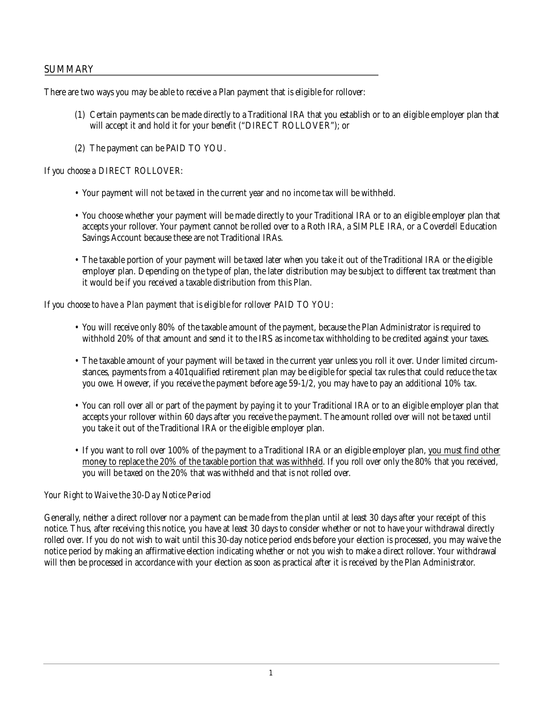### **SUMMARY**

There are two ways you may be able to receive a Plan payment that is eligible for rollover:

- (1) Certain payments can be made directly to a Traditional IRA that you establish or to an eligible employer plan that will accept it and hold it for your benefit ("DIRECT ROLLOVER"); or
- (2) The payment can be PAID TO YOU.

#### *If you choose a DIRECT ROLLOVER:*

- Your payment will not be taxed in the current year and no income tax will be withheld.
- You choose whether your payment will be made directly to your Traditional IRA or to an eligible employer plan that accepts your rollover. Your payment cannot be rolled over to a Roth IRA, a SIMPLE IRA, or a Coverdell Education Savings Account because these are not Traditional IRAs.
- The taxable portion of your payment will be taxed later when you take it out of the Traditional IRA or the eligible employer plan. Depending on the type of plan, the later distribution may be subject to different tax treatment than it would be if you received a taxable distribution from this Plan.

#### *If you choose to have a Plan payment that is eligible for rollover PAID TO YOU*:

- You will receive only 80% of the taxable amount of the payment, because the Plan Administrator is required to withhold 20% of that amount and send it to the IRS as income tax withholding to be credited against your taxes.
- The taxable amount of your payment will be taxed in the current year unless you roll it over. Under limited circumstances, payments from a 401qualified retirement plan may be eligible for special tax rules that could reduce the tax you owe. However, if you receive the payment before age 59-1/2, you may have to pay an additional 10% tax.
- You can roll over all or part of the payment by paying it to your Traditional IRA or to an eligible employer plan that accepts your rollover within 60 days after you receive the payment. The amount rolled over will not be taxed until you take it out of the Traditional IRA or the eligible employer plan.
- If you want to roll over 100% of the payment to a Traditional IRA or an eligible employer plan, you must find other money to replace the 20% of the taxable portion that was withheld. If you roll over only the 80% that you received, you will be taxed on the 20% that was withheld and that is not rolled over.

### *Your Right to Waive the 30-Day Notice Period*

Generally, neither a direct rollover nor a payment can be made from the plan until at least 30 days after your receipt of this notice. Thus, after receiving this notice, you have at least 30 days to consider whether or not to have your withdrawal directly rolled over. If you do not wish to wait until this 30-day notice period ends before your election is processed, you may waive the notice period by making an affirmative election indicating whether or not you wish to make a direct rollover. Your withdrawal will then be processed in accordance with your election as soon as practical after it is received by the Plan Administrator.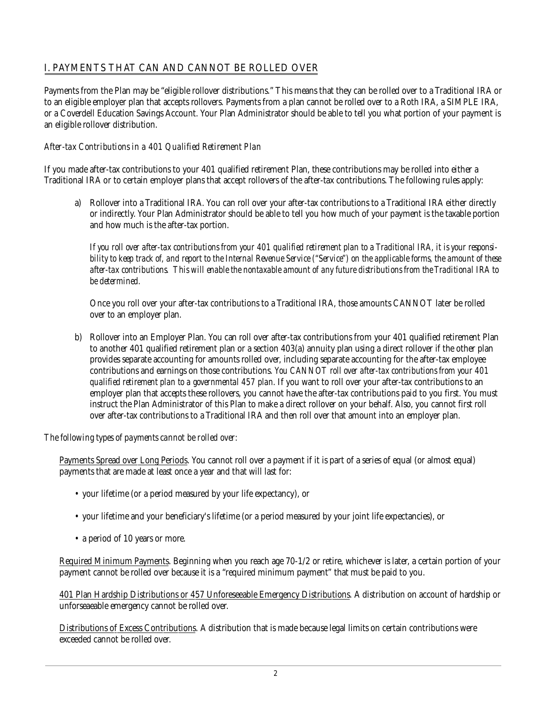# **I. PAYMENTS THAT CAN AND CANNOT BE ROLLED OVER**

Payments from the Plan may be "eligible rollover distributions." This means that they can be rolled over to a Traditional IRA or to an eligible employer plan that accepts rollovers. Payments from a plan cannot be rolled over to a Roth IRA, a SIMPLE IRA, or a Coverdell Education Savings Account. Your Plan Administrator should be able to tell you what portion of your payment is an eligible rollover distribution.

### *After-tax Contributions in a 401 Qualified Retirement Plan*

If you made after-tax contributions to your 401 qualified retirement Plan, these contributions may be rolled into either a Traditional IRA or to certain employer plans that accept rollovers of the after-tax contributions. The following rules apply:

a) Rollover into a Traditional IRA. You can roll over your after-tax contributions to a Traditional IRA either directly or indirectly. Your Plan Administrator should be able to tell you how much of your payment is the taxable portion and how much is the after-tax portion.

*If you roll over after-tax contributions from your 401 qualified retirement plan to a Traditional IRA, it is your responsibility to keep track of, and report to the Internal Revenue Service ("Service") on the applicable forms, the amount of these after-tax contributions. This will enable the nontaxable amount of any future distributions from the Traditional IRA to be determined.*

Once you roll over your after-tax contributions to a Traditional IRA, those amounts CANNOT later be rolled over to an employer plan.

b) Rollover into an Employer Plan. You can roll over after-tax contributions from your 401 qualified retirement Plan to another 401 qualified retirement plan or a section 403(a) annuity plan using a direct rollover if the other plan provides separate accounting for amounts rolled over, including separate accounting for the after-tax employee contributions and earnings on those contributions. *You CANNOT roll over after-tax contributions from your 401 qualified retirement plan to a governmental 457 plan*. If you want to roll over your after-tax contributions to an employer plan that accepts these rollovers, you cannot have the after-tax contributions paid to you first. You must instruct the Plan Administrator of this Plan to make a direct rollover on your behalf. Also, you cannot first roll over after-tax contributions to a Traditional IRA and then roll over that amount into an employer plan.

#### *The following types of payments cannot be rolled over:*

Payments Spread over Long Periods. You cannot roll over a payment if it is part of a series of equal (or almost equal) payments that are made at least once a year and that will last for:

- your lifetime (or a period measured by your life expectancy), or
- your lifetime and your beneficiary's lifetime (or a period measured by your joint life expectancies), or
- a period of 10 years or more.

Required Minimum Payments. Beginning when you reach age 70-1/2 or retire, whichever is later, a certain portion of your payment cannot be rolled over because it is a "required minimum payment" that must be paid to you.

401 Plan Hardship Distributions or 457 Unforeseeable Emergency Distributions. A distribution on account of hardship or unforseaeable emergency cannot be rolled over.

Distributions of Excess Contributions. A distribution that is made because legal limits on certain contributions were exceeded cannot be rolled over.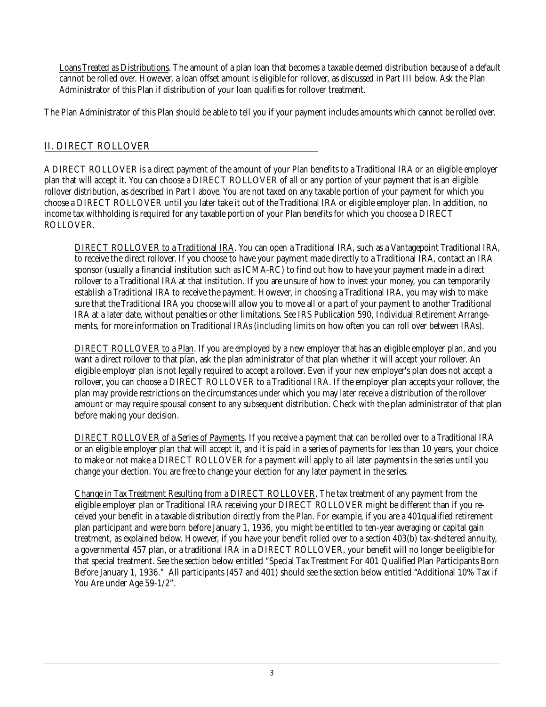Loans Treated as Distributions. The amount of a plan loan that becomes a taxable deemed distribution because of a default cannot be rolled over. However, a loan offset amount is eligible for rollover, as discussed in Part III below. Ask the Plan Administrator of this Plan if distribution of your loan qualifies for rollover treatment.

The Plan Administrator of this Plan should be able to tell you if your payment includes amounts which cannot be rolled over.

## **II. DIRECT ROLLOVER**

A DIRECT ROLLOVER is a direct payment of the amount of your Plan benefits to a Traditional IRA or an eligible employer plan that will accept it. You can choose a DIRECT ROLLOVER of all or any portion of your payment that is an eligible rollover distribution, as described in Part I above. You are not taxed on any taxable portion of your payment for which you choose a DIRECT ROLLOVER until you later take it out of the Traditional IRA or eligible employer plan. In addition, no income tax withholding is required for any taxable portion of your Plan benefits for which you choose a DIRECT ROLLOVER.

DIRECT ROLLOVER to a Traditional IRA. You can open a Traditional IRA, such as a Vantagepoint Traditional IRA, to receive the direct rollover. If you choose to have your payment made directly to a Traditional IRA, contact an IRA sponsor (usually a financial institution such as ICMA-RC) to find out how to have your payment made in a direct rollover to a Traditional IRA at that institution. If you are unsure of how to invest your money, you can temporarily establish a Traditional IRA to receive the payment. However, in choosing a Traditional IRA, you may wish to make sure that the Traditional IRA you choose will allow you to move all or a part of your payment to another Traditional IRA at a later date, without penalties or other limitations. See IRS Publication 590, Individual Retirement Arrangements, for more information on Traditional IRAs (including limits on how often you can roll over between IRAs).

DIRECT ROLLOVER to a Plan. If you are employed by a new employer that has an eligible employer plan, and you want a direct rollover to that plan, ask the plan administrator of that plan whether it will accept your rollover. An eligible employer plan is not legally required to accept a rollover. Even if your new employer's plan does not accept a rollover, you can choose a DIRECT ROLLOVER to a Traditional IRA. If the employer plan accepts your rollover, the plan may provide restrictions on the circumstances under which you may later receive a distribution of the rollover amount or may require spousal consent to any subsequent distribution. Check with the plan administrator of that plan before making your decision.

DIRECT ROLLOVER of a Series of Payments. If you receive a payment that can be rolled over to a Traditional IRA or an eligible employer plan that will accept it, and it is paid in a series of payments for less than 10 years, your choice to make or not make a DIRECT ROLLOVER for a payment will apply to all later payments in the series until you change your election. You are free to change your election for any later payment in the series.

Change in Tax Treatment Resulting from a DIRECT ROLLOVER. The tax treatment of any payment from the eligible employer plan or Traditional IRA receiving your DIRECT ROLLOVER might be different than if you received your benefit in a taxable distribution directly from the Plan. For example, if you are a 401qualified retirement plan participant and were born before January 1, 1936, you might be entitled to ten-year averaging or capital gain treatment, as explained below. However, if you have your benefit rolled over to a section 403(b) tax-sheltered annuity, a governmental 457 plan, or a traditional IRA in a DIRECT ROLLOVER, your benefit will no longer be eligible for that special treatment. See the section below entitled "Special Tax Treatment For 401 Qualified Plan Participants Born Before January 1, 1936." All participants (457 and 401) should see the section below entitled "Additional 10% Tax if You Are under Age 59-1/2".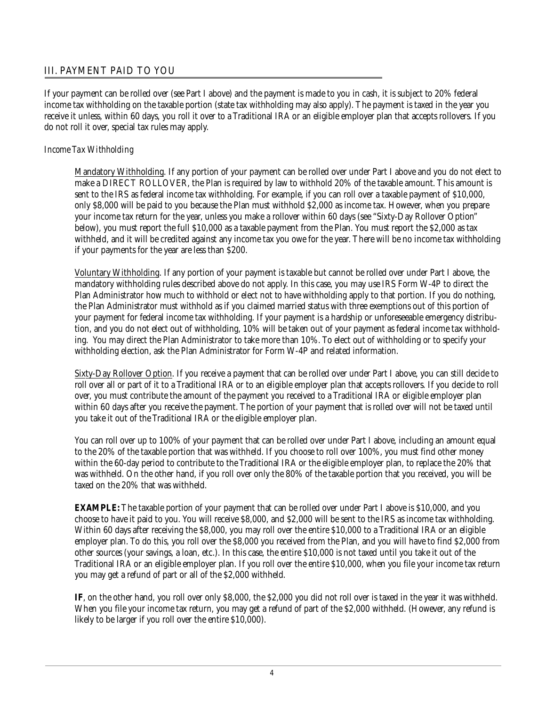### **III. PAYMENT PAID TO YOU**

If your payment can be rolled over (see Part I above) and the payment is made to you in cash, it is subject to 20% federal income tax withholding on the taxable portion (state tax withholding may also apply). The payment is taxed in the year you receive it unless, within 60 days, you roll it over to a Traditional IRA or an eligible employer plan that accepts rollovers. If you do not roll it over, special tax rules may apply.

### *Income Tax Withholding*

Mandatory Withholding. If any portion of your payment can be rolled over under Part I above and you do not elect to make a DIRECT ROLLOVER, the Plan is required by law to withhold 20% of the taxable amount. This amount is sent to the IRS as federal income tax withholding. For example, if you can roll over a taxable payment of \$10,000, only \$8,000 will be paid to you because the Plan must withhold \$2,000 as income tax. However, when you prepare your income tax return for the year, unless you make a rollover within 60 days (see "Sixty-Day Rollover Option" below), you must report the full \$10,000 as a taxable payment from the Plan. You must report the \$2,000 as tax withheld, and it will be credited against any income tax you owe for the year. There will be no income tax withholding if your payments for the year are less than \$200.

Voluntary Withholding. If any portion of your payment is taxable but cannot be rolled over under Part I above, the mandatory withholding rules described above do not apply. In this case, you may use IRS Form W-4P to direct the Plan Administrator how much to withhold or elect not to have withholding apply to that portion. If you do nothing, the Plan Administrator must withhold as if you claimed married status with three exemptions out of this portion of your payment for federal income tax withholding. If your payment is a hardship or unforeseeable emergency distribution, and you do not elect out of withholding, 10% will be taken out of your payment as federal income tax withholding. You may direct the Plan Administrator to take more than 10%. To elect out of withholding or to specify your withholding election, ask the Plan Administrator for Form W-4P and related information.

Sixty-Day Rollover Option. If you receive a payment that can be rolled over under Part I above, you can still decide to roll over all or part of it to a Traditional IRA or to an eligible employer plan that accepts rollovers. If you decide to roll over, you must contribute the amount of the payment you received to a Traditional IRA or eligible employer plan within 60 days after you receive the payment. The portion of your payment that is rolled over will not be taxed until you take it out of the Traditional IRA or the eligible employer plan.

You can roll over up to 100% of your payment that can be rolled over under Part I above, including an amount equal to the 20% of the taxable portion that was withheld. If you choose to roll over 100%, you must find other money within the 60-day period to contribute to the Traditional IRA or the eligible employer plan, to replace the 20% that was withheld. On the other hand, if you roll over only the 80% of the taxable portion that you received, you will be taxed on the 20% that was withheld.

**EXAMPLE:** The taxable portion of your payment that can be rolled over under Part I above is \$10,000, and you choose to have it paid to you. You will receive \$8,000, and \$2,000 will be sent to the IRS as income tax withholding. Within 60 days after receiving the \$8,000, you may roll over the entire \$10,000 to a Traditional IRA or an eligible employer plan. To do this, you roll over the \$8,000 you received from the Plan, and you will have to find \$2,000 from other sources (your savings, a loan, etc.). In this case, the entire \$10,000 is not taxed until you take it out of the Traditional IRA or an eligible employer plan. If you roll over the entire \$10,000, when you file your income tax return you may get a refund of part or all of the \$2,000 withheld.

**IF**, on the other hand, you roll over only \$8,000, the \$2,000 you did not roll over is taxed in the year it was withheld. When you file your income tax return, you may get a refund of part of the \$2,000 withheld. (However, any refund is likely to be larger if you roll over the entire \$10,000).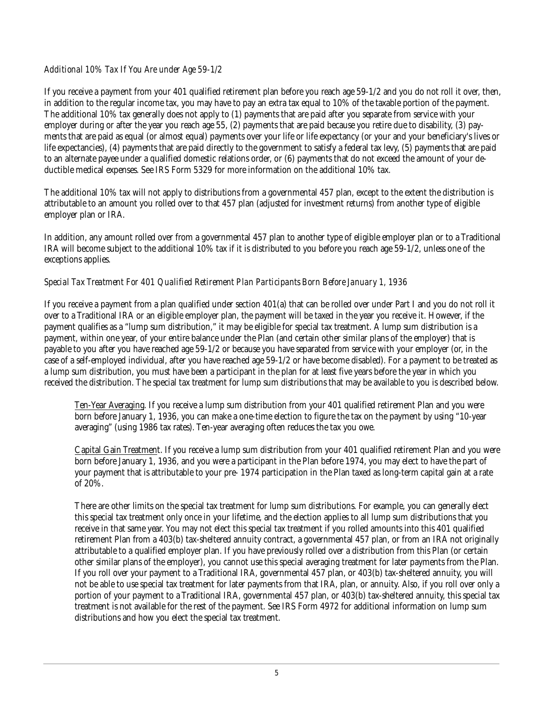### *Additional 10% Tax If You Are under Age 59-1/2*

If you receive a payment from your 401 qualified retirement plan before you reach age 59-1/2 and you do not roll it over, then, in addition to the regular income tax, you may have to pay an extra tax equal to 10% of the taxable portion of the payment. The additional 10% tax generally does not apply to (1) payments that are paid after you separate from service with your employer during or after the year you reach age 55, (2) payments that are paid because you retire due to disability, (3) payments that are paid as equal (or almost equal) payments over your life or life expectancy (or your and your beneficiary's lives or life expectancies), (4) payments that are paid directly to the government to satisfy a federal tax levy, (5) payments that are paid to an alternate payee under a qualified domestic relations order, or (6) payments that do not exceed the amount of your deductible medical expenses. See IRS Form 5329 for more information on the additional 10% tax.

The additional 10% tax will not apply to distributions from a governmental 457 plan, except to the extent the distribution is attributable to an amount you rolled over to that 457 plan (adjusted for investment returns) from another type of eligible employer plan or IRA.

In addition, any amount rolled over from a governmental 457 plan to another type of eligible employer plan or to a Traditional IRA will become subject to the additional 10% tax if it is distributed to you before you reach age 59-1/2, unless one of the exceptions applies.

### *Special Tax Treatment For 401 Qualified Retirement Plan Participants Born Before January 1, 1936*

If you receive a payment from a plan qualified under section 401(a) that can be rolled over under Part I and you do not roll it over to a Traditional IRA or an eligible employer plan, the payment will be taxed in the year you receive it. However, if the payment qualifies as a "lump sum distribution," it may be eligible for special tax treatment. A lump sum distribution is a payment, within one year, of your entire balance under the Plan (and certain other similar plans of the employer) that is payable to you after you have reached age 59-1/2 or because you have separated from service with your employer (or, in the case of a self-employed individual, after you have reached age 59-1/2 or have become disabled). For a payment to be treated as a lump sum distribution, you must have been a participant in the plan for at least five years before the year in which you received the distribution. The special tax treatment for lump sum distributions that may be available to you is described below.

Ten-Year Averaging. If you receive a lump sum distribution from your 401 qualified retirement Plan and you were born before January 1, 1936, you can make a one-time election to figure the tax on the payment by using "10-year averaging" (using 1986 tax rates). Ten-year averaging often reduces the tax you owe.

Capital Gain Treatment. If you receive a lump sum distribution from your 401 qualified retirement Plan and you were born before January 1, 1936, and you were a participant in the Plan before 1974, you may elect to have the part of your payment that is attributable to your pre- 1974 participation in the Plan taxed as long-term capital gain at a rate of 20%.

There are other limits on the special tax treatment for lump sum distributions. For example, you can generally elect this special tax treatment only once in your lifetime, and the election applies to all lump sum distributions that you receive in that same year. You may not elect this special tax treatment if you rolled amounts into this 401 qualified retirement Plan from a 403(b) tax-sheltered annuity contract, a governmental 457 plan, or from an IRA not originally attributable to a qualified employer plan. If you have previously rolled over a distribution from this Plan (or certain other similar plans of the employer), you cannot use this special averaging treatment for later payments from the Plan. If you roll over your payment to a Traditional IRA, governmental 457 plan, or 403(b) tax-sheltered annuity, you will not be able to use special tax treatment for later payments from that IRA, plan, or annuity. Also, if you roll over only a portion of your payment to a Traditional IRA, governmental 457 plan, or 403(b) tax-sheltered annuity, this special tax treatment is not available for the rest of the payment. See IRS Form 4972 for additional information on lump sum distributions and how you elect the special tax treatment.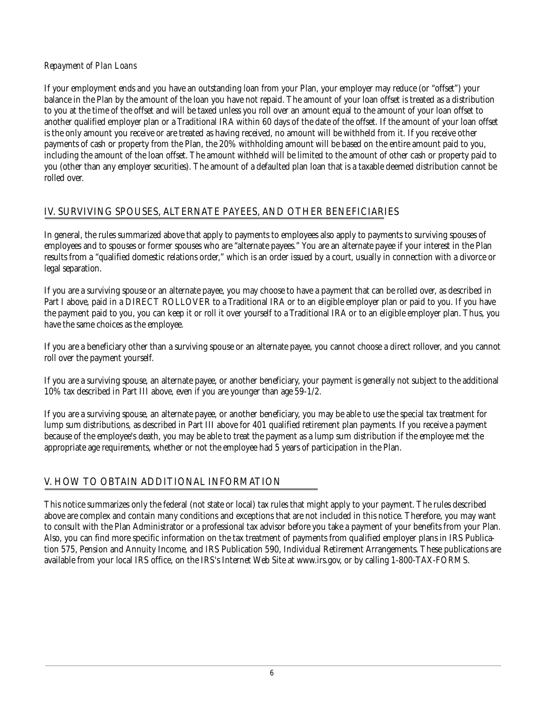#### *Repayment of Plan Loans*

If your employment ends and you have an outstanding loan from your Plan, your employer may reduce (or "offset") your balance in the Plan by the amount of the loan you have not repaid. The amount of your loan offset is treated as a distribution to you at the time of the offset and will be taxed unless you roll over an amount equal to the amount of your loan offset to another qualified employer plan or a Traditional IRA within 60 days of the date of the offset. If the amount of your loan offset is the only amount you receive or are treated as having received, no amount will be withheld from it. If you receive other payments of cash or property from the Plan, the 20% withholding amount will be based on the entire amount paid to you, including the amount of the loan offset. The amount withheld will be limited to the amount of other cash or property paid to you (other than any employer securities). The amount of a defaulted plan loan that is a taxable deemed distribution cannot be rolled over.

### **IV. SURVIVING SPOUSES, ALTERNATE PAYEES, AND OTHER BENEFICIARIES**

In general, the rules summarized above that apply to payments to employees also apply to payments to surviving spouses of employees and to spouses or former spouses who are "alternate payees." You are an alternate payee if your interest in the Plan results from a "qualified domestic relations order," which is an order issued by a court, usually in connection with a divorce or legal separation.

If you are a surviving spouse or an alternate payee, you may choose to have a payment that can be rolled over, as described in Part I above, paid in a DIRECT ROLLOVER to a Traditional IRA or to an eligible employer plan or paid to you. If you have the payment paid to you, you can keep it or roll it over yourself to a Traditional IRA or to an eligible employer plan. Thus, you have the same choices as the employee.

If you are a beneficiary other than a surviving spouse or an alternate payee, you cannot choose a direct rollover, and you cannot roll over the payment yourself.

If you are a surviving spouse, an alternate payee, or another beneficiary, your payment is generally not subject to the additional 10% tax described in Part III above, even if you are younger than age 59-1/2.

If you are a surviving spouse, an alternate payee, or another beneficiary, you may be able to use the special tax treatment for lump sum distributions, as described in Part III above for 401 qualified retirement plan payments. If you receive a payment because of the employee's death, you may be able to treat the payment as a lump sum distribution if the employee met the appropriate age requirements, whether or not the employee had 5 years of participation in the Plan.

# **V. HOW TO OBTAIN ADDITIONAL INFORMATION**

This notice summarizes only the federal (not state or local) tax rules that might apply to your payment. The rules described above are complex and contain many conditions and exceptions that are not included in this notice. Therefore, you may want to consult with the Plan Administrator or a professional tax advisor before you take a payment of your benefits from your Plan. Also, you can find more specific information on the tax treatment of payments from qualified employer plans in IRS Publication 575, Pension and Annuity Income, and IRS Publication 590, Individual Retirement Arrangements. These publications are available from your local IRS office, on the IRS's Internet Web Site at www.irs.gov, or by calling 1-800-TAX-FORMS.